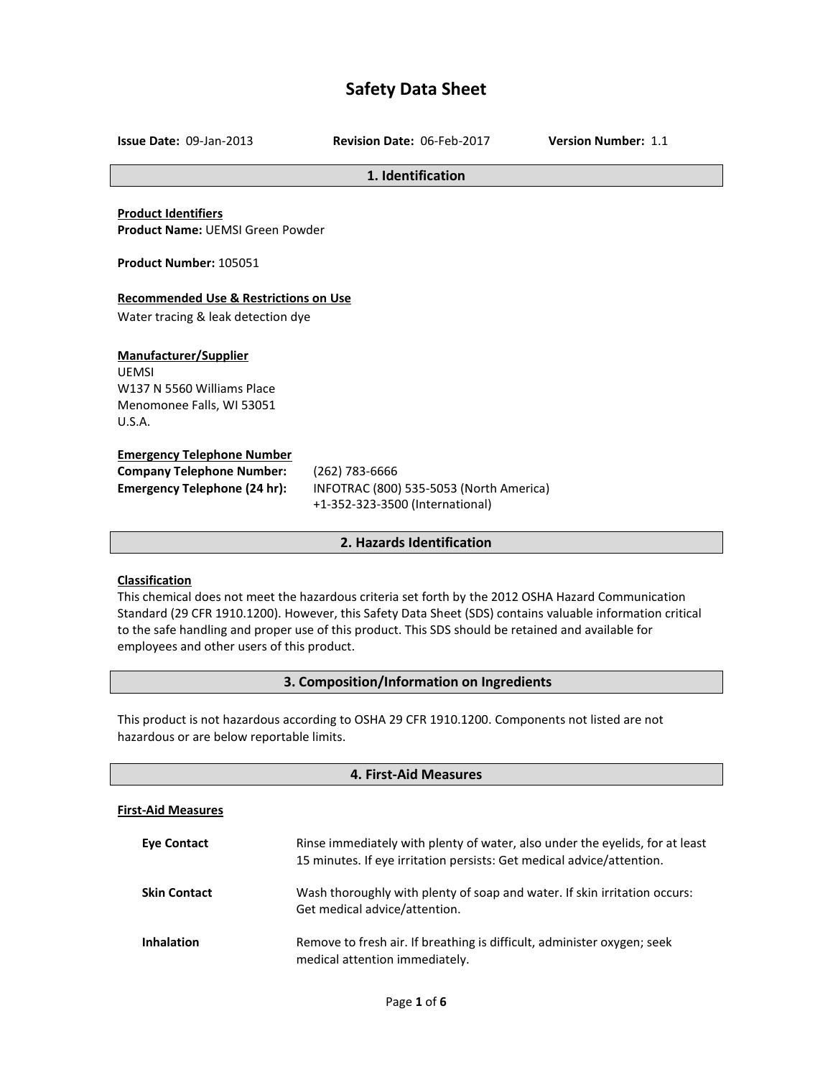# **Safety Data Sheet**

**Issue Date:** 09-Jan-2013 **Revision Date:** 06-Feb-2017 **Version Number:** 1.1

#### **1. Identification**

**Product Identifiers Product Name:** UEMSI Green Powder

**Product Number:** 105051

## **Recommended Use & Restrictions on Use**

Water tracing & leak detection dye

## **Manufacturer/Supplier**

UEMSI W137 N 5560 Williams Place Menomonee Falls, WI 53051 U.S.A.

#### **Emergency Telephone Number**

| <b>Company Telephone Number:</b>    |  |
|-------------------------------------|--|
| <b>Emergency Telephone (24 hr):</b> |  |

**Company Telephone Number:** (262) 783-6666 **Emergency Telephone (24 hr):** INFOTRAC (800) 535-5053 (North America) +1-352-323-3500 (International)

#### **2. Hazards Identification**

## **Classification**

This chemical does not meet the hazardous criteria set forth by the 2012 OSHA Hazard Communication Standard (29 CFR 1910.1200). However, this Safety Data Sheet (SDS) contains valuable information critical to the safe handling and proper use of this product. This SDS should be retained and available for employees and other users of this product.

## **3. Composition/Information on Ingredients**

This product is not hazardous according to OSHA 29 CFR 1910.1200. Components not listed are not hazardous or are below reportable limits.

| 4. First-Aid Measures     |                                                                                                                                                       |
|---------------------------|-------------------------------------------------------------------------------------------------------------------------------------------------------|
| <b>First-Aid Measures</b> |                                                                                                                                                       |
| Eye Contact               | Rinse immediately with plenty of water, also under the eyelids, for at least<br>15 minutes. If eye irritation persists: Get medical advice/attention. |
| <b>Skin Contact</b>       | Wash thoroughly with plenty of soap and water. If skin irritation occurs:<br>Get medical advice/attention.                                            |
| <b>Inhalation</b>         | Remove to fresh air. If breathing is difficult, administer oxygen; seek<br>medical attention immediately.                                             |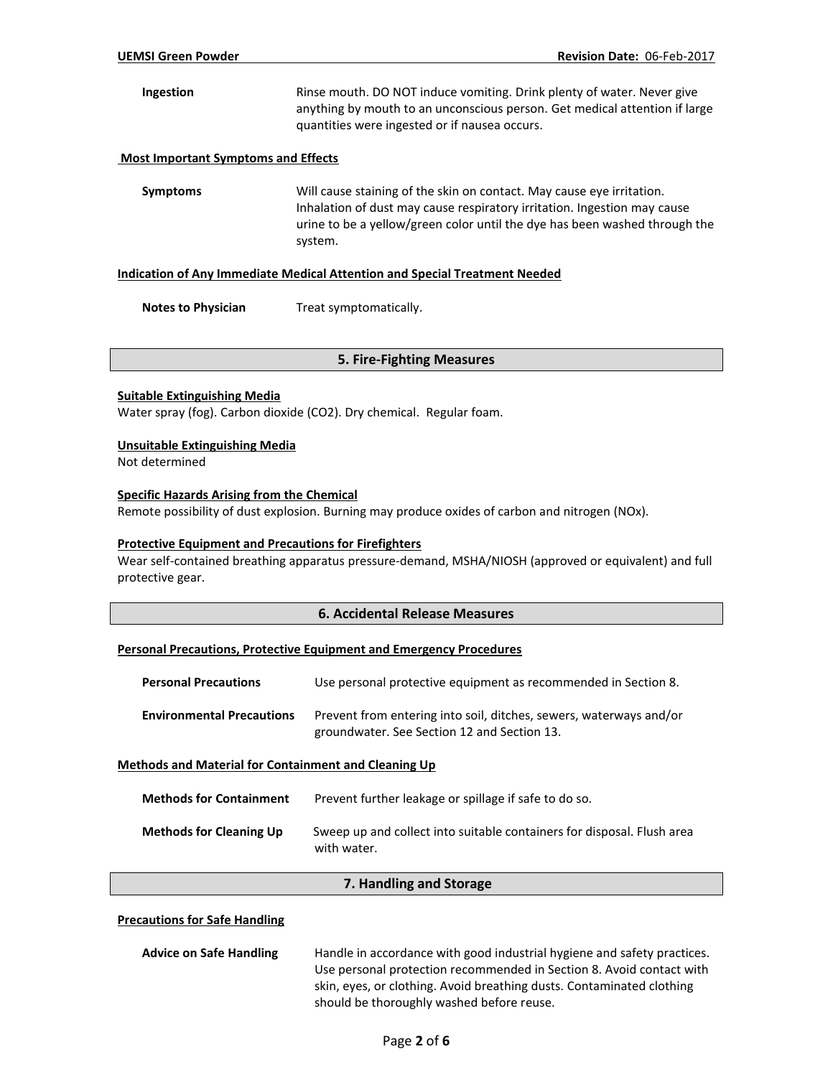**Ingestion** Rinse mouth. DO NOT induce vomiting. Drink plenty of water. Never give anything by mouth to an unconscious person. Get medical attention if large quantities were ingested or if nausea occurs.

#### **Most Important Symptoms and Effects**

**Symptoms** Will cause staining of the skin on contact. May cause eye irritation. Inhalation of dust may cause respiratory irritation. Ingestion may cause urine to be a yellow/green color until the dye has been washed through the system.

#### **Indication of Any Immediate Medical Attention and Special Treatment Needed**

**Notes to Physician** Treat symptomatically.

#### **5. Fire-Fighting Measures**

#### **Suitable Extinguishing Media**

Water spray (fog). Carbon dioxide (CO2). Dry chemical. Regular foam.

#### **Unsuitable Extinguishing Media**

Not determined

## **Specific Hazards Arising from the Chemical**

Remote possibility of dust explosion. Burning may produce oxides of carbon and nitrogen (NOx).

#### **Protective Equipment and Precautions for Firefighters**

Wear self-contained breathing apparatus pressure-demand, MSHA/NIOSH (approved or equivalent) and full protective gear.

## **6. Accidental Release Measures**

#### **Personal Precautions, Protective Equipment and Emergency Procedures**

| <b>Personal Precautions</b>                                 | Use personal protective equipment as recommended in Section 8.                                                    |
|-------------------------------------------------------------|-------------------------------------------------------------------------------------------------------------------|
| <b>Environmental Precautions</b>                            | Prevent from entering into soil, ditches, sewers, waterways and/or<br>groundwater. See Section 12 and Section 13. |
| <b>Methods and Material for Containment and Cleaning Up</b> |                                                                                                                   |

| <b>Methods for Containment</b> | Prevent further leakage or spillage if safe to do so.                                 |
|--------------------------------|---------------------------------------------------------------------------------------|
| <b>Methods for Cleaning Up</b> | Sweep up and collect into suitable containers for disposal. Flush area<br>with water. |

#### **7. Handling and Storage**

#### **Precautions for Safe Handling**

| <b>Advice on Safe Handling</b> | Handle in accordance with good industrial hygiene and safety practices. |
|--------------------------------|-------------------------------------------------------------------------|
|                                | Use personal protection recommended in Section 8. Avoid contact with    |
|                                | skin, eyes, or clothing. Avoid breathing dusts. Contaminated clothing   |
|                                | should be thoroughly washed before reuse.                               |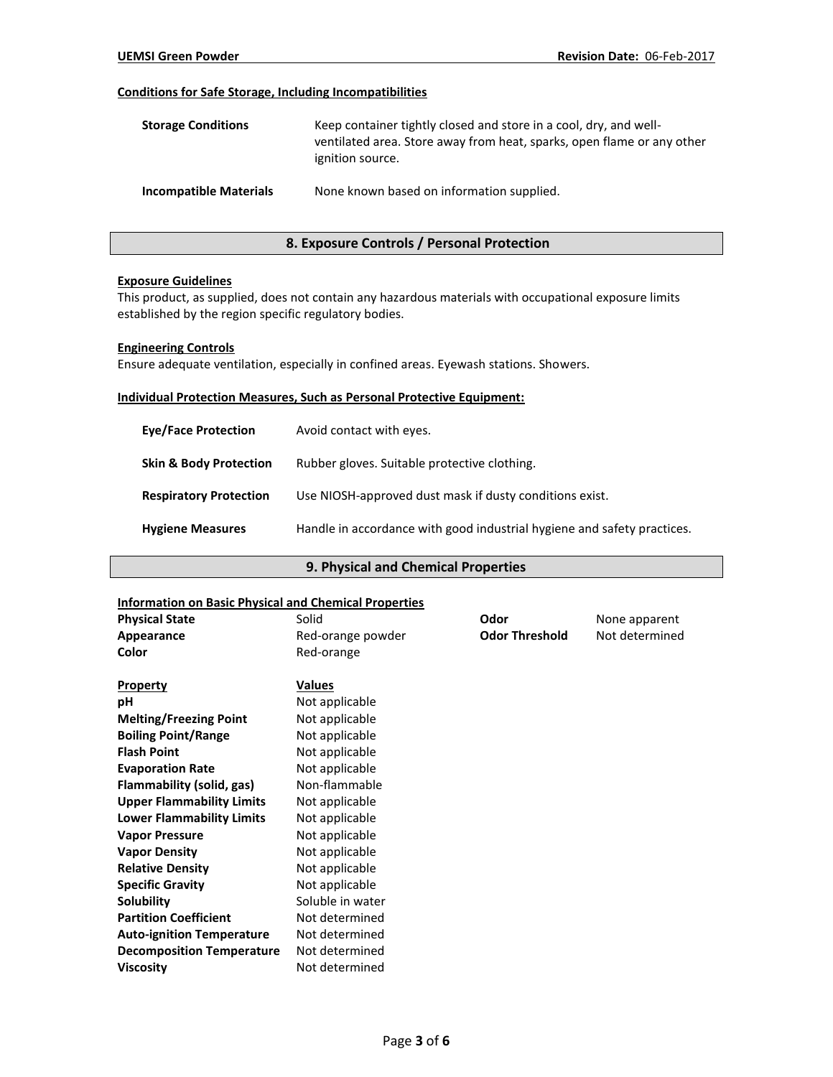## **Conditions for Safe Storage, Including Incompatibilities**

| <b>Storage Conditions</b>     | Keep container tightly closed and store in a cool, dry, and well-<br>ventilated area. Store away from heat, sparks, open flame or any other<br>ignition source. |
|-------------------------------|-----------------------------------------------------------------------------------------------------------------------------------------------------------------|
| <b>Incompatible Materials</b> | None known based on information supplied.                                                                                                                       |

## **8. Exposure Controls / Personal Protection**

#### **Exposure Guidelines**

This product, as supplied, does not contain any hazardous materials with occupational exposure limits established by the region specific regulatory bodies.

#### **Engineering Controls**

Ensure adequate ventilation, especially in confined areas. Eyewash stations. Showers.

#### **Individual Protection Measures, Such as Personal Protective Equipment:**

| <b>Eve/Face Protection</b>        | Avoid contact with eyes.                                                |
|-----------------------------------|-------------------------------------------------------------------------|
| <b>Skin &amp; Body Protection</b> | Rubber gloves. Suitable protective clothing.                            |
| <b>Respiratory Protection</b>     | Use NIOSH-approved dust mask if dusty conditions exist.                 |
| <b>Hygiene Measures</b>           | Handle in accordance with good industrial hygiene and safety practices. |

# **9. Physical and Chemical Properties**

#### **Information on Basic Physical and Chemical Properties**

| <b>Physical State</b>            | Solid             | Odor                  | None apparent  |
|----------------------------------|-------------------|-----------------------|----------------|
| Appearance                       | Red-orange powder | <b>Odor Threshold</b> | Not determined |
| Color                            | Red-orange        |                       |                |
| Property                         | Values            |                       |                |
| pH                               | Not applicable    |                       |                |
| <b>Melting/Freezing Point</b>    | Not applicable    |                       |                |
| <b>Boiling Point/Range</b>       | Not applicable    |                       |                |
| <b>Flash Point</b>               | Not applicable    |                       |                |
| <b>Evaporation Rate</b>          | Not applicable    |                       |                |
| Flammability (solid, gas)        | Non-flammable     |                       |                |
| <b>Upper Flammability Limits</b> | Not applicable    |                       |                |
| <b>Lower Flammability Limits</b> | Not applicable    |                       |                |
| <b>Vapor Pressure</b>            | Not applicable    |                       |                |
| <b>Vapor Density</b>             | Not applicable    |                       |                |
| <b>Relative Density</b>          | Not applicable    |                       |                |
| <b>Specific Gravity</b>          | Not applicable    |                       |                |
| <b>Solubility</b>                | Soluble in water  |                       |                |
| <b>Partition Coefficient</b>     | Not determined    |                       |                |
| <b>Auto-ignition Temperature</b> | Not determined    |                       |                |
| <b>Decomposition Temperature</b> | Not determined    |                       |                |
| <b>Viscosity</b>                 | Not determined    |                       |                |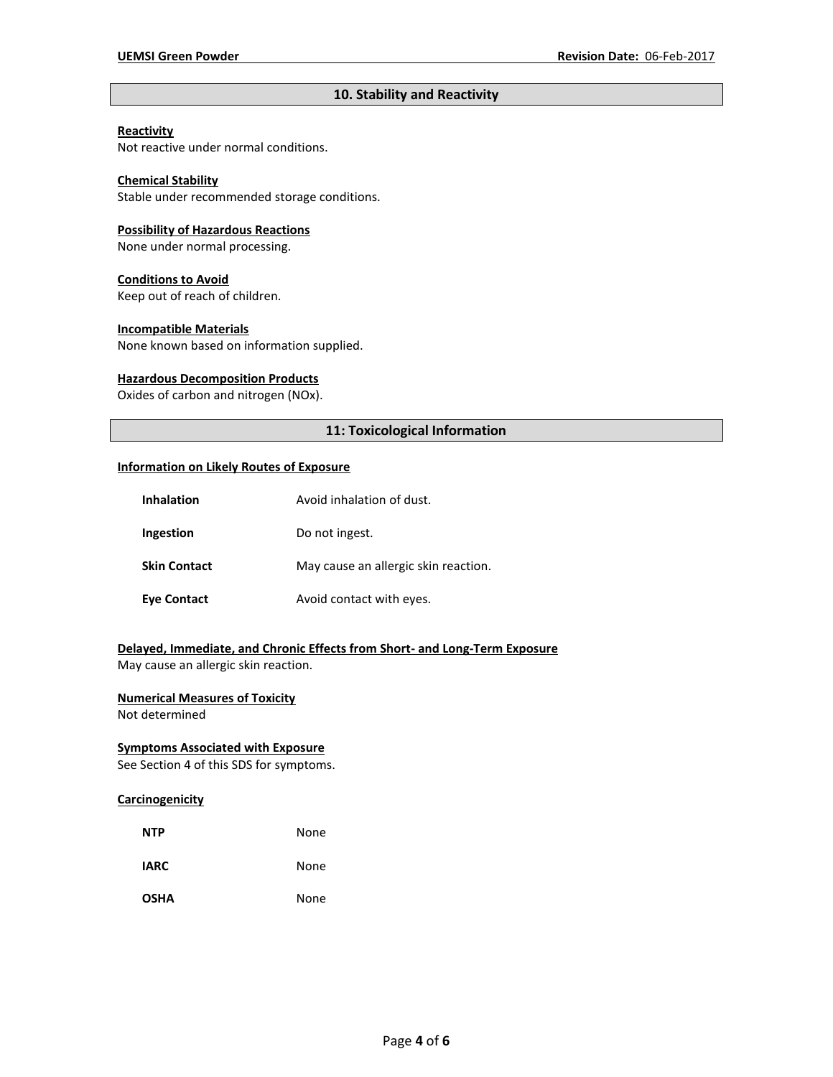## **10. Stability and Reactivity**

## **Reactivity**

Not reactive under normal conditions.

## **Chemical Stability**

Stable under recommended storage conditions.

#### **Possibility of Hazardous Reactions**

None under normal processing.

#### **Conditions to Avoid**

Keep out of reach of children.

#### **Incompatible Materials**

None known based on information supplied.

## **Hazardous Decomposition Products**

Oxides of carbon and nitrogen (NOx).

## **11: Toxicological Information**

#### **Information on Likely Routes of Exposure**

| <b>Inhalation</b>   | Avoid inhalation of dust.            |
|---------------------|--------------------------------------|
| Ingestion           | Do not ingest.                       |
| <b>Skin Contact</b> | May cause an allergic skin reaction. |
| <b>Eye Contact</b>  | Avoid contact with eyes.             |

# **Delayed, Immediate, and Chronic Effects from Short- and Long-Term Exposure**

May cause an allergic skin reaction.

## **Numerical Measures of Toxicity**

Not determined

## **Symptoms Associated with Exposure**

See Section 4 of this SDS for symptoms.

## **Carcinogenicity**

| <b>NTP</b>  | None |
|-------------|------|
| <b>IARC</b> | None |
| <b>OSHA</b> | None |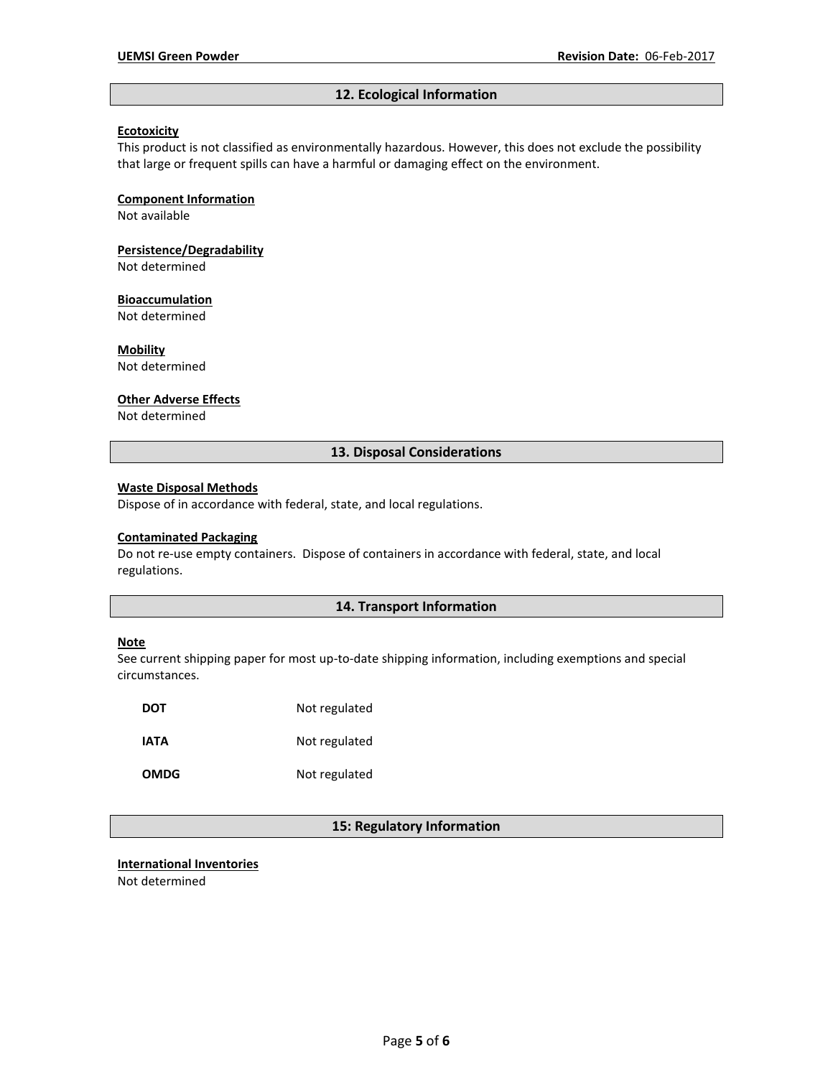## **12. Ecological Information**

#### **Ecotoxicity**

This product is not classified as environmentally hazardous. However, this does not exclude the possibility that large or frequent spills can have a harmful or damaging effect on the environment.

#### **Component Information**

Not available

**Persistence/Degradability**

Not determined

#### **Bioaccumulation**

Not determined

**Mobility**

Not determined

## **Other Adverse Effects**

Not determined

## **13. Disposal Considerations**

#### **Waste Disposal Methods**

Dispose of in accordance with federal, state, and local regulations.

#### **Contaminated Packaging**

Do not re-use empty containers.Dispose of containers in accordance with federal, state, and local regulations.

## **14. Transport Information**

#### **Note**

See current shipping paper for most up-to-date shipping information, including exemptions and special circumstances.

| DOT         | Not regulated |
|-------------|---------------|
| IATA        | Not regulated |
| <b>OMDG</b> | Not regulated |

## **15: Regulatory Information**

# **International Inventories**

Not determined